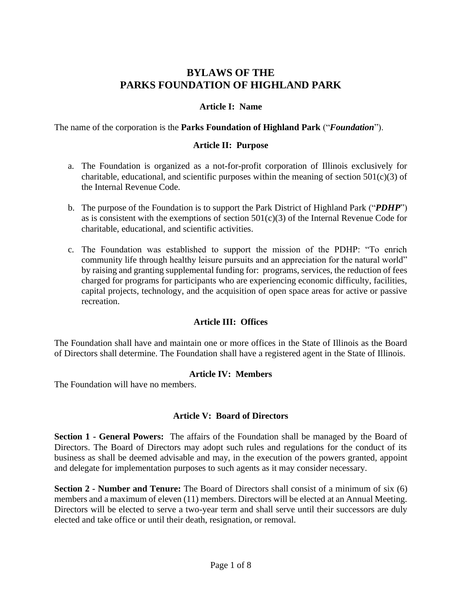# **BYLAWS OF THE PARKS FOUNDATION OF HIGHLAND PARK**

# **Article I: Name**

The name of the corporation is the **Parks Foundation of Highland Park** ("*Foundation*").

## **Article II: Purpose**

- a. The Foundation is organized as a not-for-profit corporation of Illinois exclusively for charitable, educational, and scientific purposes within the meaning of section  $501(c)(3)$  of the Internal Revenue Code.
- b. The purpose of the Foundation is to support the Park District of Highland Park ("*PDHP*") as is consistent with the exemptions of section  $501(c)(3)$  of the Internal Revenue Code for charitable, educational, and scientific activities.
- c. The Foundation was established to support the mission of the PDHP: "To enrich community life through healthy leisure pursuits and an appreciation for the natural world" by raising and granting supplemental funding for: programs, services, the reduction of fees charged for programs for participants who are experiencing economic difficulty, facilities, capital projects, technology, and the acquisition of open space areas for active or passive recreation.

## **Article III: Offices**

The Foundation shall have and maintain one or more offices in the State of Illinois as the Board of Directors shall determine. The Foundation shall have a registered agent in the State of Illinois.

## **Article IV: Members**

The Foundation will have no members.

## **Article V: Board of Directors**

**Section 1 - General Powers:** The affairs of the Foundation shall be managed by the Board of Directors. The Board of Directors may adopt such rules and regulations for the conduct of its business as shall be deemed advisable and may, in the execution of the powers granted, appoint and delegate for implementation purposes to such agents as it may consider necessary.

**Section 2 - Number and Tenure:** The Board of Directors shall consist of a minimum of six (6) members and a maximum of eleven (11) members. Directors will be elected at an Annual Meeting. Directors will be elected to serve a two-year term and shall serve until their successors are duly elected and take office or until their death, resignation, or removal.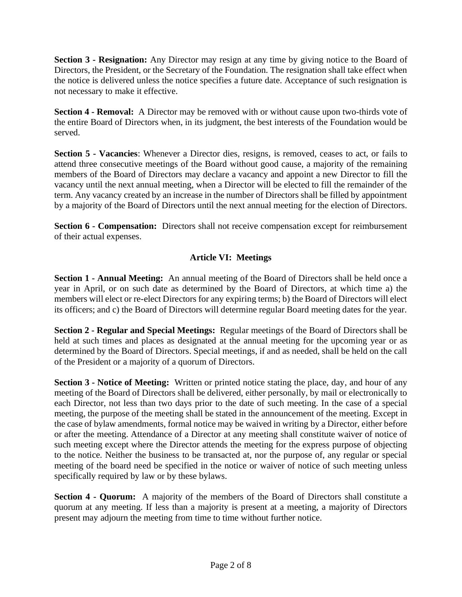**Section 3 - Resignation:** Any Director may resign at any time by giving notice to the Board of Directors, the President, or the Secretary of the Foundation. The resignation shall take effect when the notice is delivered unless the notice specifies a future date. Acceptance of such resignation is not necessary to make it effective.

**Section 4 - Removal:** A Director may be removed with or without cause upon two-thirds vote of the entire Board of Directors when, in its judgment, the best interests of the Foundation would be served.

**Section 5 - Vacancies**: Whenever a Director dies, resigns, is removed, ceases to act, or fails to attend three consecutive meetings of the Board without good cause, a majority of the remaining members of the Board of Directors may declare a vacancy and appoint a new Director to fill the vacancy until the next annual meeting, when a Director will be elected to fill the remainder of the term. Any vacancy created by an increase in the number of Directors shall be filled by appointment by a majority of the Board of Directors until the next annual meeting for the election of Directors.

**Section 6 - Compensation:** Directors shall not receive compensation except for reimbursement of their actual expenses.

# **Article VI: Meetings**

**Section 1 - Annual Meeting:** An annual meeting of the Board of Directors shall be held once a year in April, or on such date as determined by the Board of Directors, at which time a) the members will elect or re-elect Directors for any expiring terms; b) the Board of Directors will elect its officers; and c) the Board of Directors will determine regular Board meeting dates for the year.

**Section 2 - Regular and Special Meetings:** Regular meetings of the Board of Directors shall be held at such times and places as designated at the annual meeting for the upcoming year or as determined by the Board of Directors. Special meetings, if and as needed, shall be held on the call of the President or a majority of a quorum of Directors.

**Section 3 - Notice of Meeting:** Written or printed notice stating the place, day, and hour of any meeting of the Board of Directors shall be delivered, either personally, by mail or electronically to each Director, not less than two days prior to the date of such meeting. In the case of a special meeting, the purpose of the meeting shall be stated in the announcement of the meeting. Except in the case of bylaw amendments, formal notice may be waived in writing by a Director, either before or after the meeting. Attendance of a Director at any meeting shall constitute waiver of notice of such meeting except where the Director attends the meeting for the express purpose of objecting to the notice. Neither the business to be transacted at, nor the purpose of, any regular or special meeting of the board need be specified in the notice or waiver of notice of such meeting unless specifically required by law or by these bylaws.

**Section 4 - Quorum:** A majority of the members of the Board of Directors shall constitute a quorum at any meeting. If less than a majority is present at a meeting, a majority of Directors present may adjourn the meeting from time to time without further notice.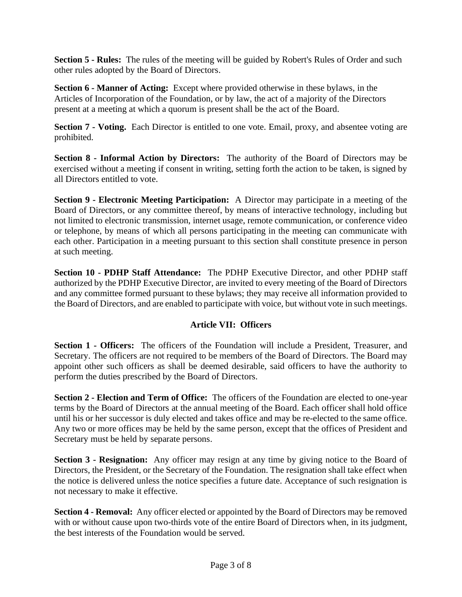**Section 5 - Rules:** The rules of the meeting will be guided by Robert's Rules of Order and such other rules adopted by the Board of Directors.

**Section 6 - Manner of Acting:** Except where provided otherwise in these bylaws, in the Articles of Incorporation of the Foundation, or by law, the act of a majority of the Directors present at a meeting at which a quorum is present shall be the act of the Board.

**Section 7 - Voting.** Each Director is entitled to one vote. Email, proxy, and absentee voting are prohibited.

**Section 8 - Informal Action by Directors:** The authority of the Board of Directors may be exercised without a meeting if consent in writing, setting forth the action to be taken, is signed by all Directors entitled to vote.

**Section 9 - Electronic Meeting Participation:** A Director may participate in a meeting of the Board of Directors, or any committee thereof, by means of interactive technology, including but not limited to electronic transmission, internet usage, remote communication, or conference video or telephone, by means of which all persons participating in the meeting can communicate with each other. Participation in a meeting pursuant to this section shall constitute presence in person at such meeting.

**Section 10 - PDHP Staff Attendance:** The PDHP Executive Director, and other PDHP staff authorized by the PDHP Executive Director, are invited to every meeting of the Board of Directors and any committee formed pursuant to these bylaws; they may receive all information provided to the Board of Directors, and are enabled to participate with voice, but without vote in such meetings.

# **Article VII: Officers**

**Section 1 - Officers:** The officers of the Foundation will include a President, Treasurer, and Secretary. The officers are not required to be members of the Board of Directors. The Board may appoint other such officers as shall be deemed desirable, said officers to have the authority to perform the duties prescribed by the Board of Directors.

**Section 2 - Election and Term of Office:** The officers of the Foundation are elected to one-year terms by the Board of Directors at the annual meeting of the Board. Each officer shall hold office until his or her successor is duly elected and takes office and may be re-elected to the same office. Any two or more offices may be held by the same person, except that the offices of President and Secretary must be held by separate persons.

**Section 3 - Resignation:** Any officer may resign at any time by giving notice to the Board of Directors, the President, or the Secretary of the Foundation. The resignation shall take effect when the notice is delivered unless the notice specifies a future date. Acceptance of such resignation is not necessary to make it effective.

**Section 4 - Removal:** Any officer elected or appointed by the Board of Directors may be removed with or without cause upon two-thirds vote of the entire Board of Directors when, in its judgment, the best interests of the Foundation would be served.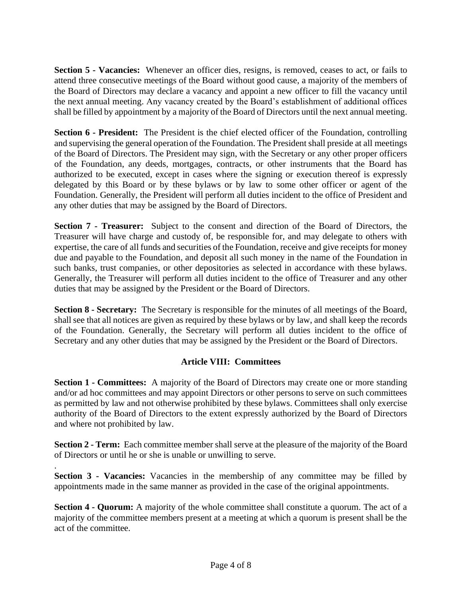**Section 5 - Vacancies:** Whenever an officer dies, resigns, is removed, ceases to act, or fails to attend three consecutive meetings of the Board without good cause, a majority of the members of the Board of Directors may declare a vacancy and appoint a new officer to fill the vacancy until the next annual meeting. Any vacancy created by the Board's establishment of additional offices shall be filled by appointment by a majority of the Board of Directors until the next annual meeting.

**Section 6 - President:** The President is the chief elected officer of the Foundation, controlling and supervising the general operation of the Foundation. The President shall preside at all meetings of the Board of Directors. The President may sign, with the Secretary or any other proper officers of the Foundation, any deeds, mortgages, contracts, or other instruments that the Board has authorized to be executed, except in cases where the signing or execution thereof is expressly delegated by this Board or by these bylaws or by law to some other officer or agent of the Foundation. Generally, the President will perform all duties incident to the office of President and any other duties that may be assigned by the Board of Directors.

**Section 7 - Treasurer:** Subject to the consent and direction of the Board of Directors, the Treasurer will have charge and custody of, be responsible for, and may delegate to others with expertise, the care of all funds and securities of the Foundation, receive and give receipts for money due and payable to the Foundation, and deposit all such money in the name of the Foundation in such banks, trust companies, or other depositories as selected in accordance with these bylaws. Generally, the Treasurer will perform all duties incident to the office of Treasurer and any other duties that may be assigned by the President or the Board of Directors.

**Section 8 - Secretary:** The Secretary is responsible for the minutes of all meetings of the Board, shall see that all notices are given as required by these bylaws or by law, and shall keep the records of the Foundation. Generally, the Secretary will perform all duties incident to the office of Secretary and any other duties that may be assigned by the President or the Board of Directors.

# **Article VIII: Committees**

**Section 1 - Committees:** A majority of the Board of Directors may create one or more standing and/or ad hoc committees and may appoint Directors or other persons to serve on such committees as permitted by law and not otherwise prohibited by these bylaws. Committees shall only exercise authority of the Board of Directors to the extent expressly authorized by the Board of Directors and where not prohibited by law.

**Section 2 - Term:** Each committee member shall serve at the pleasure of the majority of the Board of Directors or until he or she is unable or unwilling to serve.

. **Section 3 - Vacancies:** Vacancies in the membership of any committee may be filled by appointments made in the same manner as provided in the case of the original appointments.

**Section 4 - Quorum:** A majority of the whole committee shall constitute a quorum. The act of a majority of the committee members present at a meeting at which a quorum is present shall be the act of the committee.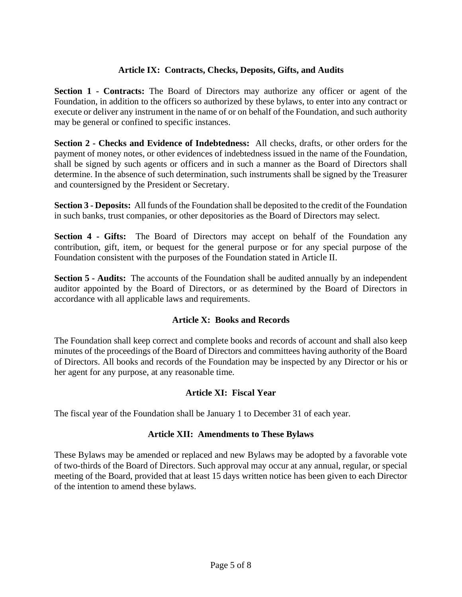# **Article IX: Contracts, Checks, Deposits, Gifts, and Audits**

**Section 1 - Contracts:** The Board of Directors may authorize any officer or agent of the Foundation, in addition to the officers so authorized by these bylaws, to enter into any contract or execute or deliver any instrument in the name of or on behalf of the Foundation, and such authority may be general or confined to specific instances.

**Section 2 - Checks and Evidence of Indebtedness:** All checks, drafts, or other orders for the payment of money notes, or other evidences of indebtedness issued in the name of the Foundation, shall be signed by such agents or officers and in such a manner as the Board of Directors shall determine. In the absence of such determination, such instruments shall be signed by the Treasurer and countersigned by the President or Secretary.

**Section 3 - Deposits:** All funds of the Foundation shall be deposited to the credit of the Foundation in such banks, trust companies, or other depositories as the Board of Directors may select.

**Section 4 - Gifts:** The Board of Directors may accept on behalf of the Foundation any contribution, gift, item, or bequest for the general purpose or for any special purpose of the Foundation consistent with the purposes of the Foundation stated in Article II.

**Section 5 - Audits:** The accounts of the Foundation shall be audited annually by an independent auditor appointed by the Board of Directors, or as determined by the Board of Directors in accordance with all applicable laws and requirements.

## **Article X: Books and Records**

The Foundation shall keep correct and complete books and records of account and shall also keep minutes of the proceedings of the Board of Directors and committees having authority of the Board of Directors. All books and records of the Foundation may be inspected by any Director or his or her agent for any purpose, at any reasonable time.

## **Article XI: Fiscal Year**

The fiscal year of the Foundation shall be January 1 to December 31 of each year.

## **Article XII: Amendments to These Bylaws**

These Bylaws may be amended or replaced and new Bylaws may be adopted by a favorable vote of two-thirds of the Board of Directors. Such approval may occur at any annual, regular, or special meeting of the Board, provided that at least 15 days written notice has been given to each Director of the intention to amend these bylaws.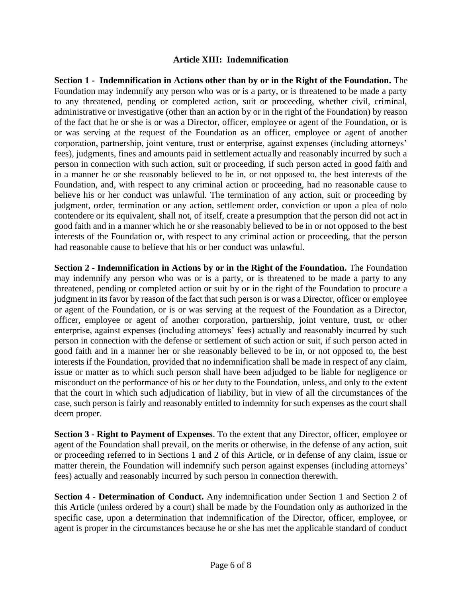# **Article XIII: Indemnification**

**Section 1 - Indemnification in Actions other than by or in the Right of the Foundation.** The Foundation may indemnify any person who was or is a party, or is threatened to be made a party to any threatened, pending or completed action, suit or proceeding, whether civil, criminal, administrative or investigative (other than an action by or in the right of the Foundation) by reason of the fact that he or she is or was a Director, officer, employee or agent of the Foundation, or is or was serving at the request of the Foundation as an officer, employee or agent of another corporation, partnership, joint venture, trust or enterprise, against expenses (including attorneys' fees), judgments, fines and amounts paid in settlement actually and reasonably incurred by such a person in connection with such action, suit or proceeding, if such person acted in good faith and in a manner he or she reasonably believed to be in, or not opposed to, the best interests of the Foundation, and, with respect to any criminal action or proceeding, had no reasonable cause to believe his or her conduct was unlawful. The termination of any action, suit or proceeding by judgment, order, termination or any action, settlement order, conviction or upon a plea of nolo contendere or its equivalent, shall not, of itself, create a presumption that the person did not act in good faith and in a manner which he or she reasonably believed to be in or not opposed to the best interests of the Foundation or, with respect to any criminal action or proceeding, that the person had reasonable cause to believe that his or her conduct was unlawful.

**Section 2 - Indemnification in Actions by or in the Right of the Foundation.** The Foundation may indemnify any person who was or is a party, or is threatened to be made a party to any threatened, pending or completed action or suit by or in the right of the Foundation to procure a judgment in its favor by reason of the fact that such person is or was a Director, officer or employee or agent of the Foundation, or is or was serving at the request of the Foundation as a Director, officer, employee or agent of another corporation, partnership, joint venture, trust, or other enterprise, against expenses (including attorneys' fees) actually and reasonably incurred by such person in connection with the defense or settlement of such action or suit, if such person acted in good faith and in a manner her or she reasonably believed to be in, or not opposed to, the best interests if the Foundation, provided that no indemnification shall be made in respect of any claim, issue or matter as to which such person shall have been adjudged to be liable for negligence or misconduct on the performance of his or her duty to the Foundation, unless, and only to the extent that the court in which such adjudication of liability, but in view of all the circumstances of the case, such person is fairly and reasonably entitled to indemnity for such expenses as the court shall deem proper.

**Section 3 - Right to Payment of Expenses**. To the extent that any Director, officer, employee or agent of the Foundation shall prevail, on the merits or otherwise, in the defense of any action, suit or proceeding referred to in Sections 1 and 2 of this Article, or in defense of any claim, issue or matter therein, the Foundation will indemnify such person against expenses (including attorneys' fees) actually and reasonably incurred by such person in connection therewith.

**Section 4 - Determination of Conduct.** Any indemnification under Section 1 and Section 2 of this Article (unless ordered by a court) shall be made by the Foundation only as authorized in the specific case, upon a determination that indemnification of the Director, officer, employee, or agent is proper in the circumstances because he or she has met the applicable standard of conduct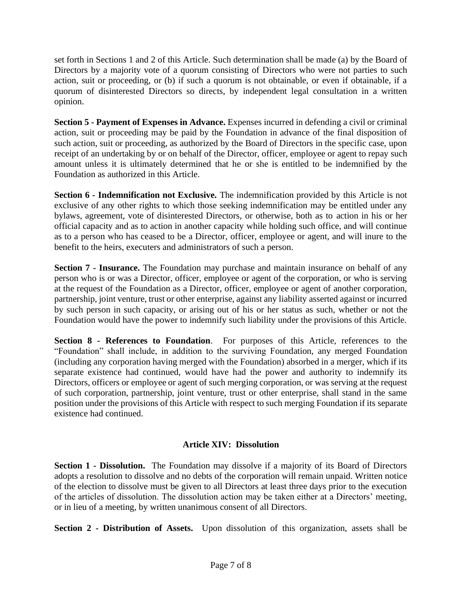set forth in Sections 1 and 2 of this Article. Such determination shall be made (a) by the Board of Directors by a majority vote of a quorum consisting of Directors who were not parties to such action, suit or proceeding, or (b) if such a quorum is not obtainable, or even if obtainable, if a quorum of disinterested Directors so directs, by independent legal consultation in a written opinion.

**Section 5 - Payment of Expenses in Advance.** Expenses incurred in defending a civil or criminal action, suit or proceeding may be paid by the Foundation in advance of the final disposition of such action, suit or proceeding, as authorized by the Board of Directors in the specific case, upon receipt of an undertaking by or on behalf of the Director, officer, employee or agent to repay such amount unless it is ultimately determined that he or she is entitled to be indemnified by the Foundation as authorized in this Article.

**Section 6 - Indemnification not Exclusive.** The indemnification provided by this Article is not exclusive of any other rights to which those seeking indemnification may be entitled under any bylaws, agreement, vote of disinterested Directors, or otherwise, both as to action in his or her official capacity and as to action in another capacity while holding such office, and will continue as to a person who has ceased to be a Director, officer, employee or agent, and will inure to the benefit to the heirs, executers and administrators of such a person.

**Section 7 - Insurance.** The Foundation may purchase and maintain insurance on behalf of any person who is or was a Director, officer, employee or agent of the corporation, or who is serving at the request of the Foundation as a Director, officer, employee or agent of another corporation, partnership, joint venture, trust or other enterprise, against any liability asserted against or incurred by such person in such capacity, or arising out of his or her status as such, whether or not the Foundation would have the power to indemnify such liability under the provisions of this Article.

**Section 8 - References to Foundation**. For purposes of this Article, references to the "Foundation" shall include, in addition to the surviving Foundation, any merged Foundation (including any corporation having merged with the Foundation) absorbed in a merger, which if its separate existence had continued, would have had the power and authority to indemnify its Directors, officers or employee or agent of such merging corporation, or was serving at the request of such corporation, partnership, joint venture, trust or other enterprise, shall stand in the same position under the provisions of this Article with respect to such merging Foundation if its separate existence had continued.

# **Article XIV: Dissolution**

**Section 1 - Dissolution.** The Foundation may dissolve if a majority of its Board of Directors adopts a resolution to dissolve and no debts of the corporation will remain unpaid. Written notice of the election to dissolve must be given to all Directors at least three days prior to the execution of the articles of dissolution. The dissolution action may be taken either at a Directors' meeting, or in lieu of a meeting, by written unanimous consent of all Directors.

**Section 2 - Distribution of Assets.** Upon dissolution of this organization, assets shall be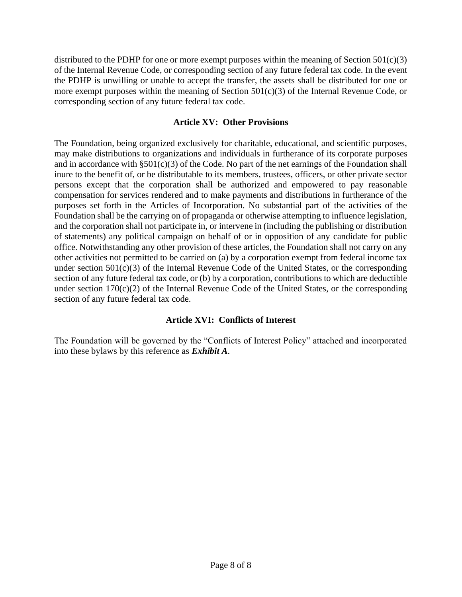distributed to the PDHP for one or more exempt purposes within the meaning of Section  $501(c)(3)$ of the Internal Revenue Code, or corresponding section of any future federal tax code. In the event the PDHP is unwilling or unable to accept the transfer, the assets shall be distributed for one or more exempt purposes within the meaning of Section 501(c)(3) of the Internal Revenue Code, or corresponding section of any future federal tax code.

# **Article XV: Other Provisions**

The Foundation, being organized exclusively for charitable, educational, and scientific purposes, may make distributions to organizations and individuals in furtherance of its corporate purposes and in accordance with §501(c)(3) of the Code. No part of the net earnings of the Foundation shall inure to the benefit of, or be distributable to its members, trustees, officers, or other private sector persons except that the corporation shall be authorized and empowered to pay reasonable compensation for services rendered and to make payments and distributions in furtherance of the purposes set forth in the Articles of Incorporation. No substantial part of the activities of the Foundation shall be the carrying on of propaganda or otherwise attempting to influence legislation, and the corporation shall not participate in, or intervene in (including the publishing or distribution of statements) any political campaign on behalf of or in opposition of any candidate for public office. Notwithstanding any other provision of these articles, the Foundation shall not carry on any other activities not permitted to be carried on (a) by a corporation exempt from federal income tax under section 501(c)(3) of the Internal Revenue Code of the United States, or the corresponding section of any future federal tax code, or (b) by a corporation, contributions to which are deductible under section 170(c)(2) of the Internal Revenue Code of the United States, or the corresponding section of any future federal tax code.

# **Article XVI: Conflicts of Interest**

The Foundation will be governed by the "Conflicts of Interest Policy" attached and incorporated into these bylaws by this reference as *Exhibit A*.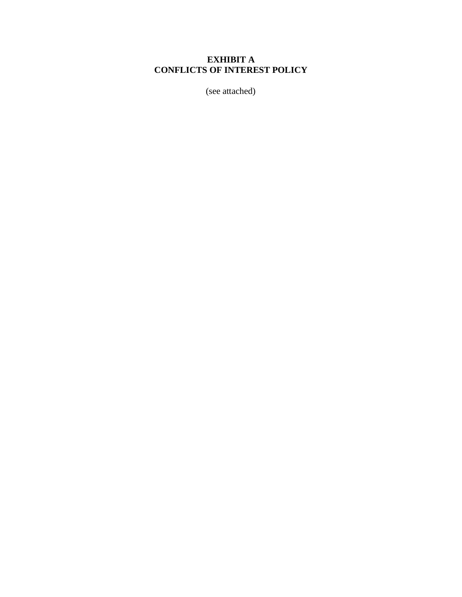# **EXHIBIT A CONFLICTS OF INTEREST POLICY**

(see attached)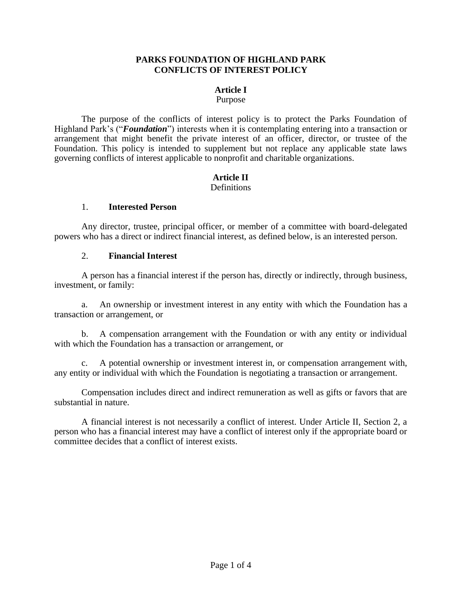## **PARKS FOUNDATION OF HIGHLAND PARK CONFLICTS OF INTEREST POLICY**

### **Article I**

#### Purpose

The purpose of the conflicts of interest policy is to protect the Parks Foundation of Highland Park's ("*Foundation*") interests when it is contemplating entering into a transaction or arrangement that might benefit the private interest of an officer, director, or trustee of the Foundation. This policy is intended to supplement but not replace any applicable state laws governing conflicts of interest applicable to nonprofit and charitable organizations.

## **Article II**

**Definitions** 

## 1. **Interested Person**

Any director, trustee, principal officer, or member of a committee with board-delegated powers who has a direct or indirect financial interest, as defined below, is an interested person.

## 2. **Financial Interest**

A person has a financial interest if the person has, directly or indirectly, through business, investment, or family:

a. An ownership or investment interest in any entity with which the Foundation has a transaction or arrangement, or

b. A compensation arrangement with the Foundation or with any entity or individual with which the Foundation has a transaction or arrangement, or

c. A potential ownership or investment interest in, or compensation arrangement with, any entity or individual with which the Foundation is negotiating a transaction or arrangement.

Compensation includes direct and indirect remuneration as well as gifts or favors that are substantial in nature.

A financial interest is not necessarily a conflict of interest. Under Article II, Section 2, a person who has a financial interest may have a conflict of interest only if the appropriate board or committee decides that a conflict of interest exists.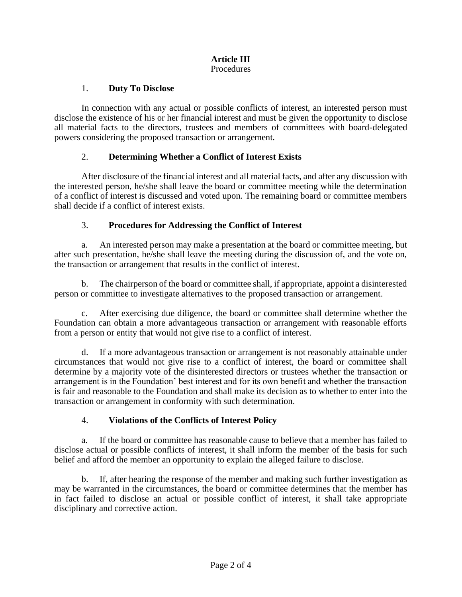#### **Article III Procedures**

# 1. **Duty To Disclose**

In connection with any actual or possible conflicts of interest, an interested person must disclose the existence of his or her financial interest and must be given the opportunity to disclose all material facts to the directors, trustees and members of committees with board-delegated powers considering the proposed transaction or arrangement.

# 2. **Determining Whether a Conflict of Interest Exists**

After disclosure of the financial interest and all material facts, and after any discussion with the interested person, he/she shall leave the board or committee meeting while the determination of a conflict of interest is discussed and voted upon. The remaining board or committee members shall decide if a conflict of interest exists.

## 3. **Procedures for Addressing the Conflict of Interest**

a. An interested person may make a presentation at the board or committee meeting, but after such presentation, he/she shall leave the meeting during the discussion of, and the vote on, the transaction or arrangement that results in the conflict of interest.

b. The chairperson of the board or committee shall, if appropriate, appoint a disinterested person or committee to investigate alternatives to the proposed transaction or arrangement.

c. After exercising due diligence, the board or committee shall determine whether the Foundation can obtain a more advantageous transaction or arrangement with reasonable efforts from a person or entity that would not give rise to a conflict of interest.

d. If a more advantageous transaction or arrangement is not reasonably attainable under circumstances that would not give rise to a conflict of interest, the board or committee shall determine by a majority vote of the disinterested directors or trustees whether the transaction or arrangement is in the Foundation' best interest and for its own benefit and whether the transaction is fair and reasonable to the Foundation and shall make its decision as to whether to enter into the transaction or arrangement in conformity with such determination.

# 4. **Violations of the Conflicts of Interest Policy**

a. If the board or committee has reasonable cause to believe that a member has failed to disclose actual or possible conflicts of interest, it shall inform the member of the basis for such belief and afford the member an opportunity to explain the alleged failure to disclose.

b. If, after hearing the response of the member and making such further investigation as may be warranted in the circumstances, the board or committee determines that the member has in fact failed to disclose an actual or possible conflict of interest, it shall take appropriate disciplinary and corrective action.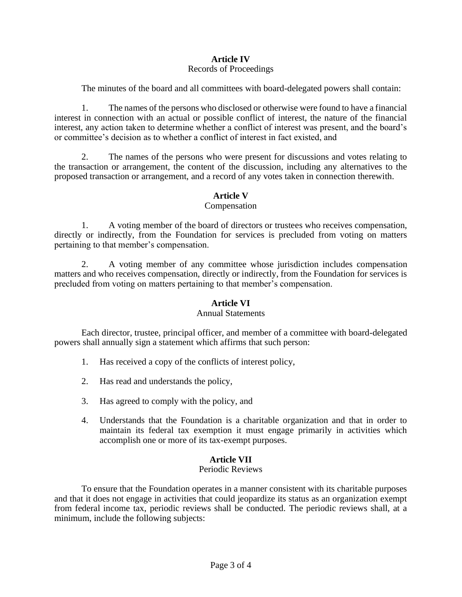# **Article IV**

### Records of Proceedings

The minutes of the board and all committees with board-delegated powers shall contain:

1. The names of the persons who disclosed or otherwise were found to have a financial interest in connection with an actual or possible conflict of interest, the nature of the financial interest, any action taken to determine whether a conflict of interest was present, and the board's or committee's decision as to whether a conflict of interest in fact existed, and

The names of the persons who were present for discussions and votes relating to the transaction or arrangement, the content of the discussion, including any alternatives to the proposed transaction or arrangement, and a record of any votes taken in connection therewith.

## **Article V**

### Compensation

1. A voting member of the board of directors or trustees who receives compensation, directly or indirectly, from the Foundation for services is precluded from voting on matters pertaining to that member's compensation.

2. A voting member of any committee whose jurisdiction includes compensation matters and who receives compensation, directly or indirectly, from the Foundation for services is precluded from voting on matters pertaining to that member's compensation.

## **Article VI**

## Annual Statements

Each director, trustee, principal officer, and member of a committee with board-delegated powers shall annually sign a statement which affirms that such person:

- 1. Has received a copy of the conflicts of interest policy,
- 2. Has read and understands the policy,
- 3. Has agreed to comply with the policy, and
- 4. Understands that the Foundation is a charitable organization and that in order to maintain its federal tax exemption it must engage primarily in activities which accomplish one or more of its tax-exempt purposes.

# **Article VII**

#### Periodic Reviews

To ensure that the Foundation operates in a manner consistent with its charitable purposes and that it does not engage in activities that could jeopardize its status as an organization exempt from federal income tax, periodic reviews shall be conducted. The periodic reviews shall, at a minimum, include the following subjects: